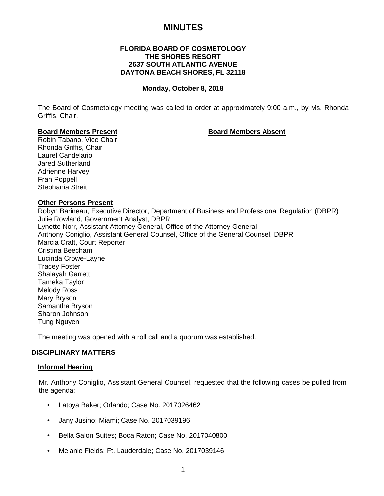# **MINUTES**

# **FLORIDA BOARD OF COSMETOLOGY THE SHORES RESORT 2637 SOUTH ATLANTIC AVENUE DAYTONA BEACH SHORES, FL 32118**

#### **Monday, October 8, 2018**

The Board of Cosmetology meeting was called to order at approximately 9:00 a.m., by Ms. Rhonda Griffis, Chair.

#### **Board Members Present Board Members Absent**

Robin Tabano, Vice Chair Rhonda Griffis, Chair Laurel Candelario Jared Sutherland Adrienne Harvey Fran Poppell Stephania Streit

#### **Other Persons Present**

Robyn Barineau, Executive Director, Department of Business and Professional Regulation (DBPR) Julie Rowland, Government Analyst, DBPR Lynette Norr, Assistant Attorney General, Office of the Attorney General Anthony Coniglio, Assistant General Counsel, Office of the General Counsel, DBPR Marcia Craft, Court Reporter Cristina Beecham Lucinda Crowe-Layne Tracey Foster Shalayah Garrett Tameka Taylor Melody Ross Mary Bryson Samantha Bryson Sharon Johnson Tung Nguyen

The meeting was opened with a roll call and a quorum was established.

# **DISCIPLINARY MATTERS**

#### **Informal Hearing**

Mr. Anthony Coniglio, Assistant General Counsel, requested that the following cases be pulled from the agenda:

- Latoya Baker; Orlando; Case No. 2017026462
- Jany Jusino; Miami; Case No. 2017039196
- Bella Salon Suites; Boca Raton; Case No. 2017040800
- Melanie Fields; Ft. Lauderdale; Case No. 2017039146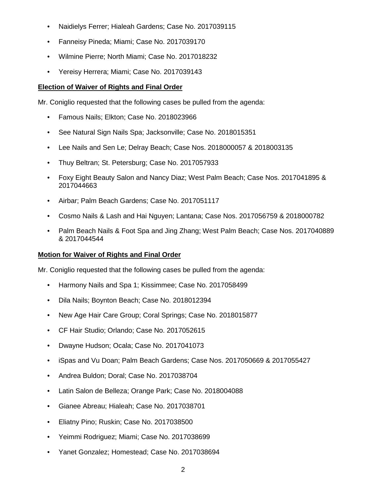- Naidielys Ferrer; Hialeah Gardens; Case No. 2017039115
- Fanneisy Pineda; Miami; Case No. 2017039170
- Wilmine Pierre; North Miami; Case No. 2017018232
- Yereisy Herrera; Miami; Case No. 2017039143

# **Election of Waiver of Rights and Final Order**

Mr. Coniglio requested that the following cases be pulled from the agenda:

- Famous Nails; Elkton; Case No. 2018023966
- See Natural Sign Nails Spa; Jacksonville; Case No. 2018015351
- Lee Nails and Sen Le; Delray Beach; Case Nos. 2018000057 & 2018003135
- Thuy Beltran; St. Petersburg; Case No. 2017057933
- Foxy Eight Beauty Salon and Nancy Diaz; West Palm Beach; Case Nos. 2017041895 & 2017044663
- Airbar; Palm Beach Gardens; Case No. 2017051117
- Cosmo Nails & Lash and Hai Nguyen; Lantana; Case Nos. 2017056759 & 2018000782
- Palm Beach Nails & Foot Spa and Jing Zhang; West Palm Beach; Case Nos. 2017040889 & 2017044544

# **Motion for Waiver of Rights and Final Order**

Mr. Coniglio requested that the following cases be pulled from the agenda:

- Harmony Nails and Spa 1; Kissimmee; Case No. 2017058499
- Dila Nails; Boynton Beach; Case No. 2018012394
- New Age Hair Care Group; Coral Springs; Case No. 2018015877
- CF Hair Studio; Orlando; Case No. 2017052615
- Dwayne Hudson; Ocala; Case No. 2017041073
- iSpas and Vu Doan; Palm Beach Gardens; Case Nos. 2017050669 & 2017055427
- Andrea Buldon; Doral; Case No. 2017038704
- Latin Salon de Belleza; Orange Park; Case No. 2018004088
- Gianee Abreau; Hialeah; Case No. 2017038701
- Eliatny Pino; Ruskin; Case No. 2017038500
- Yeimmi Rodriguez; Miami; Case No. 2017038699
- Yanet Gonzalez; Homestead; Case No. 2017038694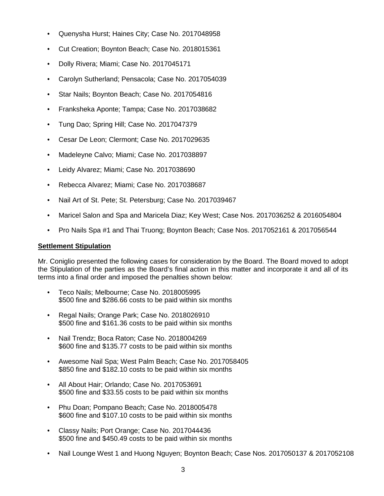- Quenysha Hurst; Haines City; Case No. 2017048958
- Cut Creation; Boynton Beach; Case No. 2018015361
- Dolly Rivera; Miami; Case No. 2017045171
- Carolyn Sutherland; Pensacola; Case No. 2017054039
- Star Nails; Boynton Beach; Case No. 2017054816
- Franksheka Aponte; Tampa; Case No. 2017038682
- Tung Dao; Spring Hill; Case No. 2017047379
- Cesar De Leon; Clermont; Case No. 2017029635
- Madeleyne Calvo; Miami; Case No. 2017038897
- Leidy Alvarez; Miami; Case No. 2017038690
- Rebecca Alvarez; Miami; Case No. 2017038687
- Nail Art of St. Pete; St. Petersburg; Case No. 2017039467
- Maricel Salon and Spa and Maricela Diaz; Key West; Case Nos. 2017036252 & 2016054804
- Pro Nails Spa #1 and Thai Truong; Boynton Beach; Case Nos. 2017052161 & 2017056544

# **Settlement Stipulation**

Mr. Coniglio presented the following cases for consideration by the Board. The Board moved to adopt the Stipulation of the parties as the Board's final action in this matter and incorporate it and all of its terms into a final order and imposed the penalties shown below:

- Teco Nails; Melbourne; Case No. 2018005995 \$500 fine and \$286.66 costs to be paid within six months
- Regal Nails; Orange Park; Case No. 2018026910 \$500 fine and \$161.36 costs to be paid within six months
- Nail Trendz; Boca Raton; Case No. 2018004269 \$600 fine and \$135.77 costs to be paid within six months
- Awesome Nail Spa; West Palm Beach; Case No. 2017058405 \$850 fine and \$182.10 costs to be paid within six months
- All About Hair; Orlando; Case No. 2017053691 \$500 fine and \$33.55 costs to be paid within six months
- Phu Doan; Pompano Beach; Case No. 2018005478 \$600 fine and \$107.10 costs to be paid within six months
- Classy Nails; Port Orange; Case No. 2017044436 \$500 fine and \$450.49 costs to be paid within six months
- Nail Lounge West 1 and Huong Nguyen; Boynton Beach; Case Nos. 2017050137 & 2017052108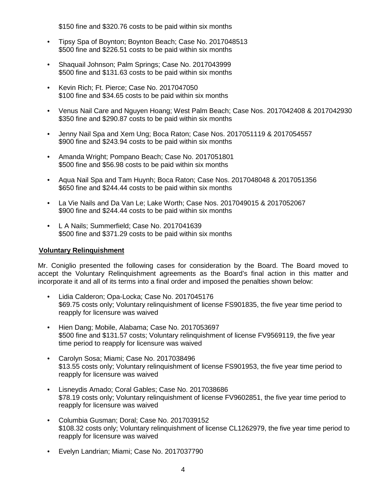\$150 fine and \$320.76 costs to be paid within six months

- Tipsy Spa of Boynton; Boynton Beach; Case No. 2017048513 \$500 fine and \$226.51 costs to be paid within six months
- Shaquail Johnson; Palm Springs; Case No. 2017043999 \$500 fine and \$131.63 costs to be paid within six months
- Kevin Rich; Ft. Pierce; Case No. 2017047050 \$100 fine and \$34.65 costs to be paid within six months
- Venus Nail Care and Nguyen Hoang; West Palm Beach; Case Nos. 2017042408 & 2017042930 \$350 fine and \$290.87 costs to be paid within six months
- Jenny Nail Spa and Xem Ung; Boca Raton; Case Nos. 2017051119 & 2017054557 \$900 fine and \$243.94 costs to be paid within six months
- Amanda Wright; Pompano Beach; Case No. 2017051801 \$500 fine and \$56.98 costs to be paid within six months
- Aqua Nail Spa and Tam Huynh; Boca Raton; Case Nos. 2017048048 & 2017051356 \$650 fine and \$244.44 costs to be paid within six months
- La Vie Nails and Da Van Le; Lake Worth; Case Nos. 2017049015 & 2017052067 \$900 fine and \$244.44 costs to be paid within six months
- L A Nails; Summerfield; Case No. 2017041639 \$500 fine and \$371.29 costs to be paid within six months

# **Voluntary Relinquishment**

Mr. Coniglio presented the following cases for consideration by the Board. The Board moved to accept the Voluntary Relinquishment agreements as the Board's final action in this matter and incorporate it and all of its terms into a final order and imposed the penalties shown below:

- Lidia Calderon; Opa-Locka; Case No. 2017045176 \$69.75 costs only; Voluntary relinquishment of license FS901835, the five year time period to reapply for licensure was waived
- Hien Dang; Mobile, Alabama; Case No. 2017053697 \$500 fine and \$131.57 costs; Voluntary relinquishment of license FV9569119, the five year time period to reapply for licensure was waived
- Carolyn Sosa; Miami; Case No. 2017038496 \$13.55 costs only; Voluntary relinquishment of license FS901953, the five year time period to reapply for licensure was waived
- Lisneydis Amado; Coral Gables; Case No. 2017038686 \$78.19 costs only; Voluntary relinquishment of license FV9602851, the five year time period to reapply for licensure was waived
- Columbia Gusman; Doral; Case No. 2017039152 \$108.32 costs only; Voluntary relinquishment of license CL1262979, the five year time period to reapply for licensure was waived
- Evelyn Landrian; Miami; Case No. 2017037790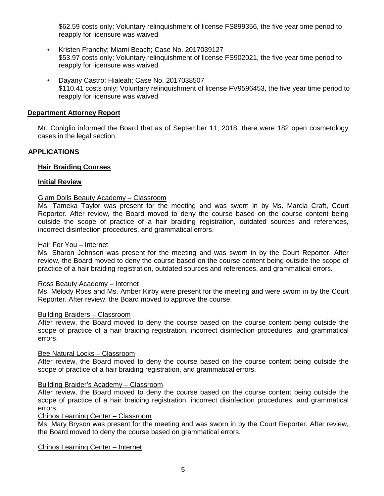\$62.59 costs only; Voluntary relinquishment of license FS899356, the five year time period to reapply for licensure was waived

- Kristen Franchy; Miami Beach; Case No. 2017039127 \$53.97 costs only; Voluntary relinquishment of license FS902021, the five year time period to reapply for licensure was waived
- Dayany Castro; Hialeah; Case No. 2017038507 \$110.41 costs only; Voluntary relinquishment of license FV9596453, the five year time period to reapply for licensure was waived

# **Department Attorney Report**

Mr. Coniglio informed the Board that as of September 11, 2018, there were 182 open cosmetology cases in the legal section.

# **APPLICATIONS**

# **Hair Braiding Courses**

# **Initial Review**

# Glam Dolls Beauty Academy – Classroom

Ms. Tameka Taylor was present for the meeting and was sworn in by Ms. Marcia Craft, Court Reporter. After review, the Board moved to deny the course based on the course content being outside the scope of practice of a hair braiding registration, outdated sources and references, incorrect disinfection procedures, and grammatical errors.

#### Hair For You – Internet

Ms. Sharon Johnson was present for the meeting and was sworn in by the Court Reporter. After review, the Board moved to deny the course based on the course content being outside the scope of practice of a hair braiding registration, outdated sources and references, and grammatical errors.

#### Ross Beauty Academy – Internet

Ms. Melody Ross and Ms. Amber Kirby were present for the meeting and were sworn in by the Court Reporter. After review, the Board moved to approve the course.

#### Building Braiders – Classroom

After review, the Board moved to deny the course based on the course content being outside the scope of practice of a hair braiding registration, incorrect disinfection procedures, and grammatical errors.

#### Bee Natural Locks – Classroom

After review, the Board moved to deny the course based on the course content being outside the scope of practice of a hair braiding registration, and grammatical errors.

# Building Braider's Academy – Classroom

After review, the Board moved to deny the course based on the course content being outside the scope of practice of a hair braiding registration, incorrect disinfection procedures, and grammatical errors.

# Chinos Learning Center – Classroom

Ms. Mary Bryson was present for the meeting and was sworn in by the Court Reporter. After review, the Board moved to deny the course based on grammatical errors.

#### Chinos Learning Center – Internet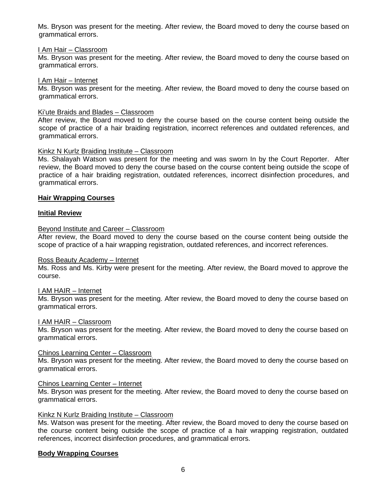Ms. Bryson was present for the meeting. After review, the Board moved to deny the course based on grammatical errors.

# I Am Hair – Classroom

Ms. Bryson was present for the meeting. After review, the Board moved to deny the course based on grammatical errors.

# I Am Hair – Internet

Ms. Bryson was present for the meeting. After review, the Board moved to deny the course based on grammatical errors.

# Ki'ute Braids and Blades – Classroom

After review, the Board moved to deny the course based on the course content being outside the scope of practice of a hair braiding registration, incorrect references and outdated references, and grammatical errors.

# Kinkz N Kurlz Braiding Institute – Classroom

Ms. Shalayah Watson was present for the meeting and was sworn In by the Court Reporter. After review, the Board moved to deny the course based on the course content being outside the scope of practice of a hair braiding registration, outdated references, incorrect disinfection procedures, and grammatical errors.

# **Hair Wrapping Courses**

# **Initial Review**

# Beyond Institute and Career – Classroom

After review, the Board moved to deny the course based on the course content being outside the scope of practice of a hair wrapping registration, outdated references, and incorrect references.

# Ross Beauty Academy – Internet

Ms. Ross and Ms. Kirby were present for the meeting. After review, the Board moved to approve the course.

# I AM HAIR – Internet

Ms. Bryson was present for the meeting. After review, the Board moved to deny the course based on grammatical errors.

# I AM HAIR – Classroom

Ms. Bryson was present for the meeting. After review, the Board moved to deny the course based on grammatical errors.

# Chinos Learning Center – Classroom

Ms. Bryson was present for the meeting. After review, the Board moved to deny the course based on grammatical errors.

# Chinos Learning Center – Internet

Ms. Bryson was present for the meeting. After review, the Board moved to deny the course based on grammatical errors.

# Kinkz N Kurlz Braiding Institute – Classroom

Ms. Watson was present for the meeting. After review, the Board moved to deny the course based on the course content being outside the scope of practice of a hair wrapping registration, outdated references, incorrect disinfection procedures, and grammatical errors.

# **Body Wrapping Courses**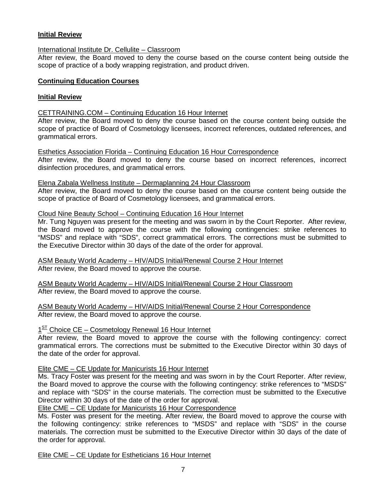# **Initial Review**

# International Institute Dr. Cellulite – Classroom

After review, the Board moved to deny the course based on the course content being outside the scope of practice of a body wrapping registration, and product driven.

# **Continuing Education Courses**

# **Initial Review**

# CETTRAINING.COM – Continuing Education 16 Hour Internet

After review, the Board moved to deny the course based on the course content being outside the scope of practice of Board of Cosmetology licensees, incorrect references, outdated references, and grammatical errors.

# Esthetics Association Florida – Continuing Education 16 Hour Correspondence

After review, the Board moved to deny the course based on incorrect references, incorrect disinfection procedures, and grammatical errors.

# Elena Zabala Wellness Institute – Dermaplanning 24 Hour Classroom

After review, the Board moved to deny the course based on the course content being outside the scope of practice of Board of Cosmetology licensees, and grammatical errors.

# Cloud Nine Beauty School – Continuing Education 16 Hour Internet

Mr. Tung Nguyen was present for the meeting and was sworn in by the Court Reporter. After review, the Board moved to approve the course with the following contingencies: strike references to "MSDS" and replace with "SDS", correct grammatical errors. The corrections must be submitted to the Executive Director within 30 days of the date of the order for approval.

#### ASM Beauty World Academy – HIV/AIDS Initial/Renewal Course 2 Hour Internet After review, the Board moved to approve the course.

ASM Beauty World Academy – HIV/AIDS Initial/Renewal Course 2 Hour Classroom After review, the Board moved to approve the course.

ASM Beauty World Academy – HIV/AIDS Initial/Renewal Course 2 Hour Correspondence After review, the Board moved to approve the course.

# $1<sup>ST</sup>$  Choice CE – Cosmetology Renewal 16 Hour Internet

After review, the Board moved to approve the course with the following contingency: correct grammatical errors. The corrections must be submitted to the Executive Director within 30 days of the date of the order for approval.

# Elite CME – CE Update for Manicurists 16 Hour Internet

Ms. Tracy Foster was present for the meeting and was sworn in by the Court Reporter. After review, the Board moved to approve the course with the following contingency: strike references to "MSDS" and replace with "SDS" in the course materials. The correction must be submitted to the Executive Director within 30 days of the date of the order for approval.

Elite CME – CE Update for Manicurists 16 Hour Correspondence

Ms. Foster was present for the meeting. After review, the Board moved to approve the course with the following contingency: strike references to "MSDS" and replace with "SDS" in the course materials. The correction must be submitted to the Executive Director within 30 days of the date of the order for approval.

Elite CME – CE Update for Estheticians 16 Hour Internet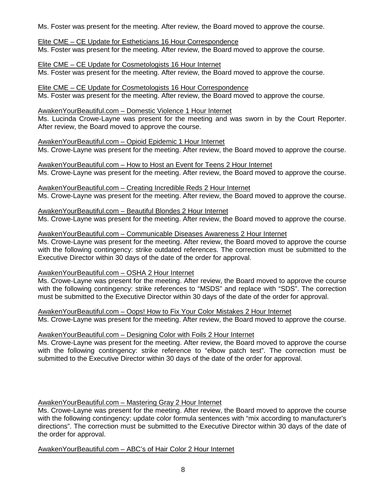Ms. Foster was present for the meeting. After review, the Board moved to approve the course.

# Elite CME – CE Update for Estheticians 16 Hour Correspondence

Ms. Foster was present for the meeting. After review, the Board moved to approve the course.

# Elite CME – CE Update for Cosmetologists 16 Hour Internet

Ms. Foster was present for the meeting. After review, the Board moved to approve the course.

# Elite CME – CE Update for Cosmetologists 16 Hour Correspondence

Ms. Foster was present for the meeting. After review, the Board moved to approve the course.

# AwakenYourBeautiful.com – Domestic Violence 1 Hour Internet

Ms. Lucinda Crowe-Layne was present for the meeting and was sworn in by the Court Reporter. After review, the Board moved to approve the course.

# AwakenYourBeautiful.com – Opioid Epidemic 1 Hour Internet

Ms. Crowe-Layne was present for the meeting. After review, the Board moved to approve the course.

# AwakenYourBeautiful.com – How to Host an Event for Teens 2 Hour Internet

Ms. Crowe-Layne was present for the meeting. After review, the Board moved to approve the course.

#### AwakenYourBeautiful.com – Creating Incredible Reds 2 Hour Internet Ms. Crowe-Layne was present for the meeting. After review, the Board moved to approve the course.

AwakenYourBeautiful.com – Beautiful Blondes 2 Hour Internet Ms. Crowe-Layne was present for the meeting. After review, the Board moved to approve the course.

# AwakenYourBeautiful.com – Communicable Diseases Awareness 2 Hour Internet

Ms. Crowe-Layne was present for the meeting. After review, the Board moved to approve the course with the following contingency: strike outdated references. The correction must be submitted to the Executive Director within 30 days of the date of the order for approval.

# AwakenYourBeautiful.com – OSHA 2 Hour Internet

Ms. Crowe-Layne was present for the meeting. After review, the Board moved to approve the course with the following contingency: strike references to "MSDS" and replace with "SDS". The correction must be submitted to the Executive Director within 30 days of the date of the order for approval.

# AwakenYourBeautiful.com – Oops! How to Fix Your Color Mistakes 2 Hour Internet

Ms. Crowe-Layne was present for the meeting. After review, the Board moved to approve the course.

# AwakenYourBeautiful.com – Designing Color with Foils 2 Hour Internet

Ms. Crowe-Layne was present for the meeting. After review, the Board moved to approve the course with the following contingency: strike reference to "elbow patch test". The correction must be submitted to the Executive Director within 30 days of the date of the order for approval.

# AwakenYourBeautiful.com – Mastering Gray 2 Hour Internet

Ms. Crowe-Layne was present for the meeting. After review, the Board moved to approve the course with the following contingency: update color formula sentences with "mix according to manufacturer's directions". The correction must be submitted to the Executive Director within 30 days of the date of the order for approval.

# AwakenYourBeautiful.com – ABC's of Hair Color 2 Hour Internet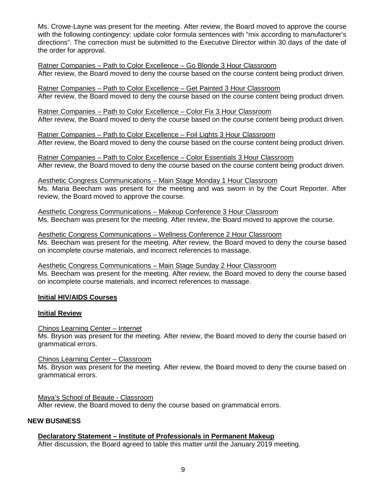Ms. Crowe-Layne was present for the meeting. After review, the Board moved to approve the course with the following contingency: update color formula sentences with "mix according to manufacturer's directions". The correction must be submitted to the Executive Director within 30 days of the date of the order for approval.

Ratner Companies – Path to Color Excellence – Go Blonde 3 Hour Classroom After review, the Board moved to deny the course based on the course content being product driven.

Ratner Companies – Path to Color Excellence – Get Painted 3 Hour Classroom After review, the Board moved to deny the course based on the course content being product driven.

Ratner Companies – Path to Color Excellence – Color Fix 3 Hour Classroom After review, the Board moved to deny the course based on the course content being product driven.

Ratner Companies – Path to Color Excellence – Foil Lights 3 Hour Classroom After review, the Board moved to deny the course based on the course content being product driven.

Ratner Companies – Path to Color Excellence – Color Essentials 3 Hour Classroom After review, the Board moved to deny the course based on the course content being product driven.

Aesthetic Congress Communications – Main Stage Monday 1 Hour Classroom Ms. Maria Beecham was present for the meeting and was sworn in by the Court Reporter. After review, the Board moved to approve the course.

Aesthetic Congress Communications – Makeup Conference 3 Hour Classroom Ms. Beecham was present for the meeting. After review, the Board moved to approve the course.

Aesthetic Congress Communications – Wellness Conference 2 Hour Classroom Ms. Beecham was present for the meeting. After review, the Board moved to deny the course based on incomplete course materials, and incorrect references to massage.

Aesthetic Congress Communications – Main Stage Sunday 2 Hour Classroom Ms. Beecham was present for the meeting. After review, the Board moved to deny the course based on incomplete course materials, and incorrect references to massage.

# **Initial HIV/AIDS Courses**

# **Initial Review**

Chinos Learning Center – Internet

Ms. Bryson was present for the meeting. After review, the Board moved to deny the course based on grammatical errors.

Chinos Learning Center – Classroom

Ms. Bryson was present for the meeting. After review, the Board moved to deny the course based on grammatical errors.

Maya's School of Beaute - Classroom After review, the Board moved to deny the course based on grammatical errors.

# **NEW BUSINESS**

# **Declaratory Statement – Institute of Professionals in Permanent Makeup**

After discussion, the Board agreed to table this matter until the January 2019 meeting.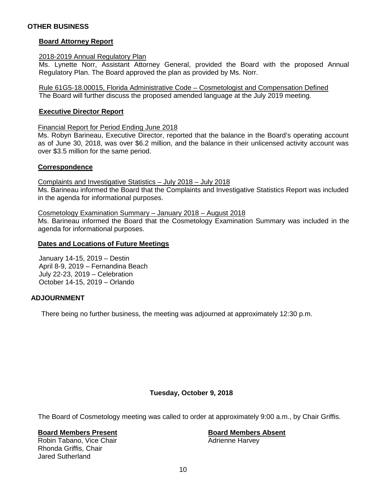# **OTHER BUSINESS**

# **Board Attorney Report**

#### 2018-2019 Annual Regulatory Plan

Ms. Lynette Norr, Assistant Attorney General, provided the Board with the proposed Annual Regulatory Plan. The Board approved the plan as provided by Ms. Norr.

Rule 61G5-18.00015, Florida Administrative Code – Cosmetologist and Compensation Defined The Board will further discuss the proposed amended language at the July 2019 meeting.

#### **Executive Director Report**

Financial Report for Period Ending June 2018

Ms. Robyn Barineau, Executive Director, reported that the balance in the Board's operating account as of June 30, 2018, was over \$6.2 million, and the balance in their unlicensed activity account was over \$3.5 million for the same period.

# **Correspondence**

Complaints and Investigative Statistics – July 2018 – July 2018 Ms. Barineau informed the Board that the Complaints and Investigative Statistics Report was included in the agenda for informational purposes.

Cosmetology Examination Summary – January 2018 – August 2018

Ms. Barineau informed the Board that the Cosmetology Examination Summary was included in the agenda for informational purposes.

#### **Dates and Locations of Future Meetings**

January 14-15, 2019 – Destin April 8-9, 2019 – Fernandina Beach July 22-23, 2019 – Celebration October 14-15, 2019 – Orlando

# **ADJOURNMENT**

There being no further business, the meeting was adjourned at approximately 12:30 p.m.

# **Tuesday, October 9, 2018**

The Board of Cosmetology meeting was called to order at approximately 9:00 a.m., by Chair Griffis.

# **Board Members Present Board Members Absent**

Robin Tabano, Vice Chair Rhonda Griffis, Chair Jared Sutherland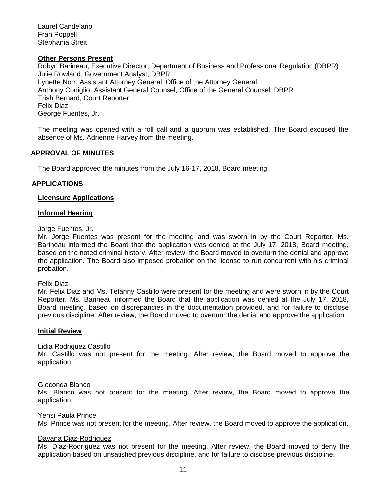Laurel Candelario Fran Poppell Stephania Streit

#### **Other Persons Present**

Robyn Barineau, Executive Director, Department of Business and Professional Regulation (DBPR) Julie Rowland, Government Analyst, DBPR Lynette Norr, Assistant Attorney General, Office of the Attorney General Anthony Coniglio, Assistant General Counsel, Office of the General Counsel, DBPR Trish Bernard, Court Reporter Felix Diaz George Fuentes, Jr.

The meeting was opened with a roll call and a quorum was established. The Board excused the absence of Ms. Adrienne Harvey from the meeting.

# **APPROVAL OF MINUTES**

The Board approved the minutes from the July 16-17, 2018, Board meeting.

# **APPLICATIONS**

# **Licensure Applications**

#### **Informal Hearing**

#### Jorge Fuentes, Jr.

Mr. Jorge Fuentes was present for the meeting and was sworn in by the Court Reporter. Ms. Barineau informed the Board that the application was denied at the July 17, 2018, Board meeting, based on the noted criminal history. After review, the Board moved to overturn the denial and approve the application. The Board also imposed probation on the license to run concurrent with his criminal probation.

#### Felix Diaz

Mr. Felix Diaz and Ms. Tefanny Castillo were present for the meeting and were sworn in by the Court Reporter. Ms. Barineau informed the Board that the application was denied at the July 17, 2018, Board meeting, based on discrepancies in the documentation provided, and for failure to disclose previous discipline. After review, the Board moved to overturn the denial and approve the application.

#### **Initial Review**

# Lidia Rodriguez Castillo

Mr. Castillo was not present for the meeting. After review, the Board moved to approve the application.

#### Gioconda Blanco

Ms. Blanco was not present for the meeting. After review, the Board moved to approve the application.

#### Yensi Paula Prince

Ms. Prince was not present for the meeting. After review, the Board moved to approve the application.

# Dayana Diaz-Rodriguez

Ms. Diaz-Rodriguez was not present for the meeting. After review, the Board moved to deny the application based on unsatisfied previous discipline, and for failure to disclose previous discipline.